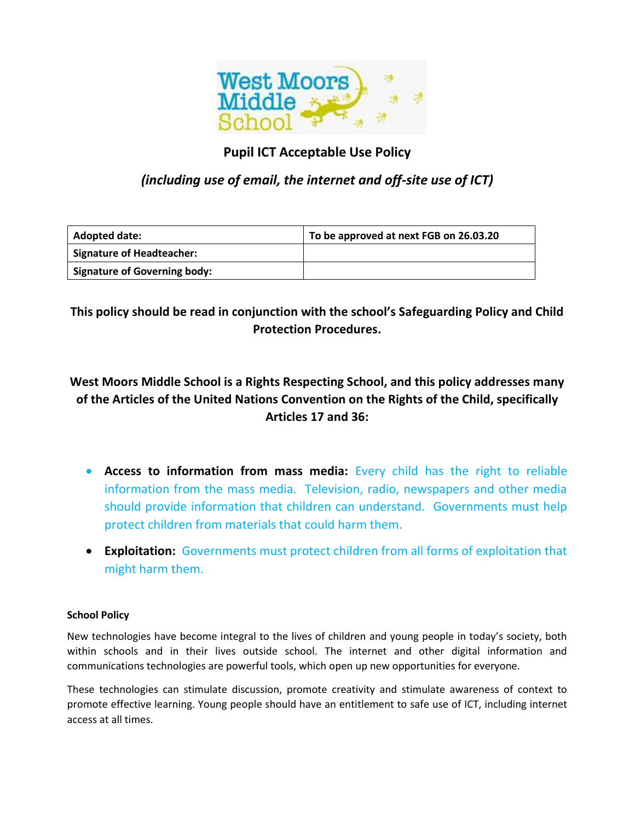

# **Pupil ICT Acceptable Use Policy**

# *(including use of email, the internet and off-site use of ICT)*

| <b>Adopted date:</b>                | To be approved at next FGB on 26.03.20 |
|-------------------------------------|----------------------------------------|
| <b>Signature of Headteacher:</b>    |                                        |
| <b>Signature of Governing body:</b> |                                        |

**This policy should be read in conjunction with the school's Safeguarding Policy and Child Protection Procedures.** 

# **West Moors Middle School is a Rights Respecting School, and this policy addresses many of the Articles of the United Nations Convention on the Rights of the Child, specifically Articles 17 and 36:**

- **Access to information from mass media:** Every child has the right to reliable information from the mass media. Television, radio, newspapers and other media should provide information that children can understand. Governments must help protect children from materials that could harm them.
- **Exploitation:** Governments must protect children from all forms of exploitation that might harm them.

## **School Policy**

New technologies have become integral to the lives of children and young people in today's society, both within schools and in their lives outside school. The internet and other digital information and communications technologies are powerful tools, which open up new opportunities for everyone.

These technologies can stimulate discussion, promote creativity and stimulate awareness of context to promote effective learning. Young people should have an entitlement to safe use of ICT, including internet access at all times.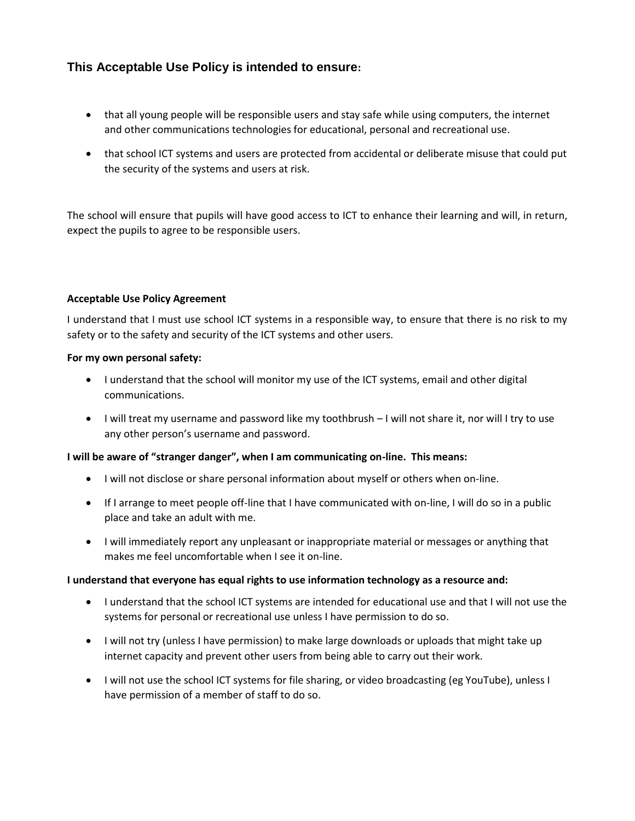# **This Acceptable Use Policy is intended to ensure:**

- that all young people will be responsible users and stay safe while using computers, the internet and other communications technologies for educational, personal and recreational use.
- that school ICT systems and users are protected from accidental or deliberate misuse that could put the security of the systems and users at risk.

The school will ensure that pupils will have good access to ICT to enhance their learning and will, in return, expect the pupils to agree to be responsible users.

### **Acceptable Use Policy Agreement**

I understand that I must use school ICT systems in a responsible way, to ensure that there is no risk to my safety or to the safety and security of the ICT systems and other users.

#### **For my own personal safety:**

- I understand that the school will monitor my use of the ICT systems, email and other digital communications.
- I will treat my username and password like my toothbrush I will not share it, nor will I try to use any other person's username and password.

#### **I will be aware of "stranger danger", when I am communicating on-line. This means:**

- I will not disclose or share personal information about myself or others when on-line.
- If I arrange to meet people off-line that I have communicated with on-line, I will do so in a public place and take an adult with me.
- I will immediately report any unpleasant or inappropriate material or messages or anything that makes me feel uncomfortable when I see it on-line.

#### **I understand that everyone has equal rights to use information technology as a resource and:**

- I understand that the school ICT systems are intended for educational use and that I will not use the systems for personal or recreational use unless I have permission to do so.
- I will not try (unless I have permission) to make large downloads or uploads that might take up internet capacity and prevent other users from being able to carry out their work.
- I will not use the school ICT systems for file sharing, or video broadcasting (eg YouTube), unless I have permission of a member of staff to do so.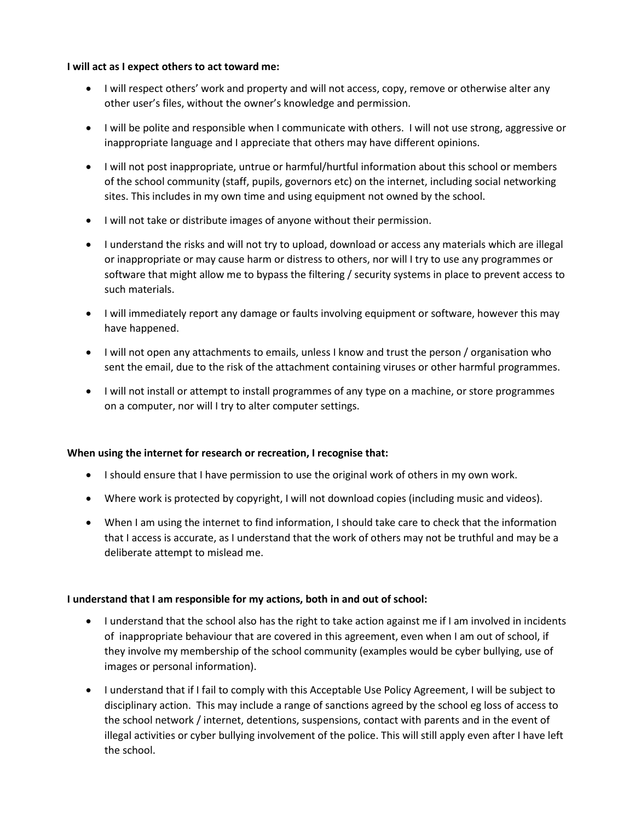#### **I will act as I expect others to act toward me:**

- I will respect others' work and property and will not access, copy, remove or otherwise alter any other user's files, without the owner's knowledge and permission.
- I will be polite and responsible when I communicate with others. I will not use strong, aggressive or inappropriate language and I appreciate that others may have different opinions.
- I will not post inappropriate, untrue or harmful/hurtful information about this school or members of the school community (staff, pupils, governors etc) on the internet, including social networking sites. This includes in my own time and using equipment not owned by the school.
- I will not take or distribute images of anyone without their permission.
- I understand the risks and will not try to upload, download or access any materials which are illegal or inappropriate or may cause harm or distress to others, nor will I try to use any programmes or software that might allow me to bypass the filtering / security systems in place to prevent access to such materials.
- I will immediately report any damage or faults involving equipment or software, however this may have happened.
- I will not open any attachments to emails, unless I know and trust the person / organisation who sent the email, due to the risk of the attachment containing viruses or other harmful programmes.
- I will not install or attempt to install programmes of any type on a machine, or store programmes on a computer, nor will I try to alter computer settings.

## **When using the internet for research or recreation, I recognise that:**

- I should ensure that I have permission to use the original work of others in my own work.
- Where work is protected by copyright, I will not download copies (including music and videos).
- When I am using the internet to find information, I should take care to check that the information that I access is accurate, as I understand that the work of others may not be truthful and may be a deliberate attempt to mislead me.

## **I understand that I am responsible for my actions, both in and out of school:**

- I understand that the school also has the right to take action against me if I am involved in incidents of inappropriate behaviour that are covered in this agreement, even when I am out of school, if they involve my membership of the school community (examples would be cyber bullying, use of images or personal information).
- I understand that if I fail to comply with this Acceptable Use Policy Agreement, I will be subject to disciplinary action. This may include a range of sanctions agreed by the school eg loss of access to the school network / internet, detentions, suspensions, contact with parents and in the event of illegal activities or cyber bullying involvement of the police. This will still apply even after I have left the school.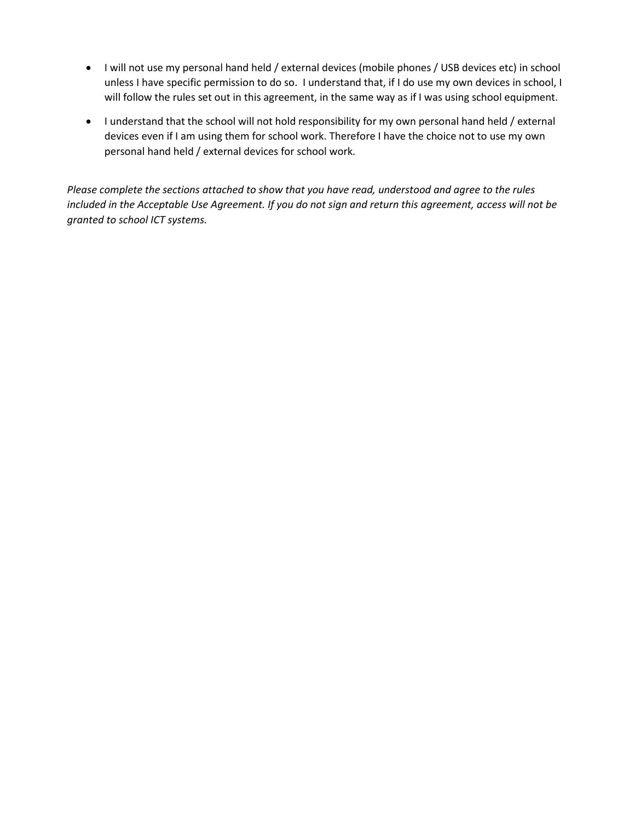- I will not use my personal hand held / external devices (mobile phones / USB devices etc) in school unless I have specific permission to do so. I understand that, if I do use my own devices in school, I will follow the rules set out in this agreement, in the same way as if I was using school equipment.
- I understand that the school will not hold responsibility for my own personal hand held / external devices even if I am using them for school work. Therefore I have the choice not to use my own personal hand held / external devices for school work.

*Please complete the sections attached to show that you have read, understood and agree to the rules included in the Acceptable Use Agreement. If you do not sign and return this agreement, access will not be granted to school ICT systems.*